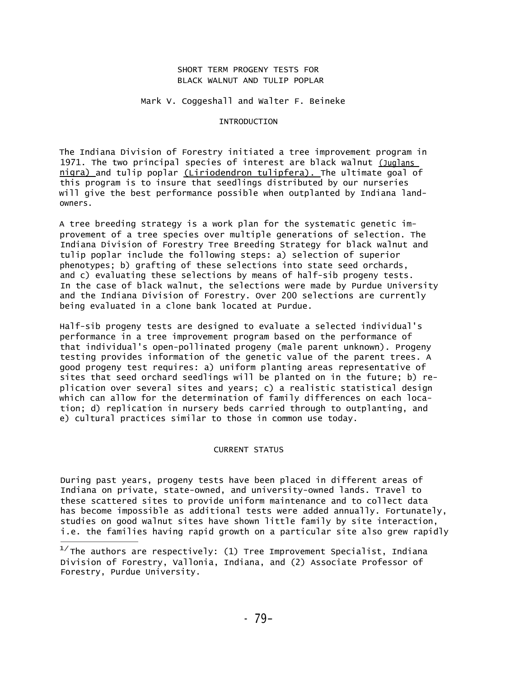# SHORT TERM PROGENY TESTS FOR BLACK WALNUT AND TULIP POPLAR

# Mark V. Coggeshall and Walter F. Beineke

# INTRODUCTION

The Indiana Division of Forestry initiated a tree improvement program in 1971. The two principal species of interest are black walnut (Juglans nigra) and tulip poplar (Liriodendron tulipfera). The ultimate goal of this program is to insure that seedlings distributed by our nurseries will give the best performance possible when outplanted by Indiana landowners.

A tree breeding strategy is a work plan for the systematic genetic improvement of a tree species over multiple generations of selection. The Indiana Division of Forestry Tree Breeding Strategy for black walnut and tulip poplar include the following steps: a) selection of superior phenotypes; b) grafting of these selections into state seed orchards, and c) evaluating these selections by means of half-sib progeny tests. In the case of black walnut, the selections were made by Purdue University and the Indiana Division of Forestry. Over 200 selections are currently being evaluated in a clone bank located at Purdue.

Half-sib progeny tests are designed to evaluate a selected individual's performance in a tree improvement program based on the performance of that individual's open-pollinated progeny (male parent unknown). Progeny testing provides information of the genetic value of the parent trees. A good progeny test requires: a) uniform planting areas representative of sites that seed orchard seedlings will be planted on in the future; b) replication over several sites and years; c) a realistic statistical design which can allow for the determination of family differences on each location; d) replication in nursery beds carried through to outplanting, and e) cultural practices similar to those in common use today.

### CURRENT STATUS

During past years, progeny tests have been placed in different areas of Indiana on private, state-owned, and university-owned lands. Travel to these scattered sites to provide uniform maintenance and to collect data has become impossible as additional tests were added annually. Fortunately, studies on good walnut sites have shown little family by site interaction, i.e. the families having rapid growth on a particular site also grew rapidly

 $^{17}$ The authors are respectively: (1) Tree Improvement Specialist, Indiana Division of Forestry, Vallonia, Indiana, and (2) Associate Professor of Forestry, Purdue University.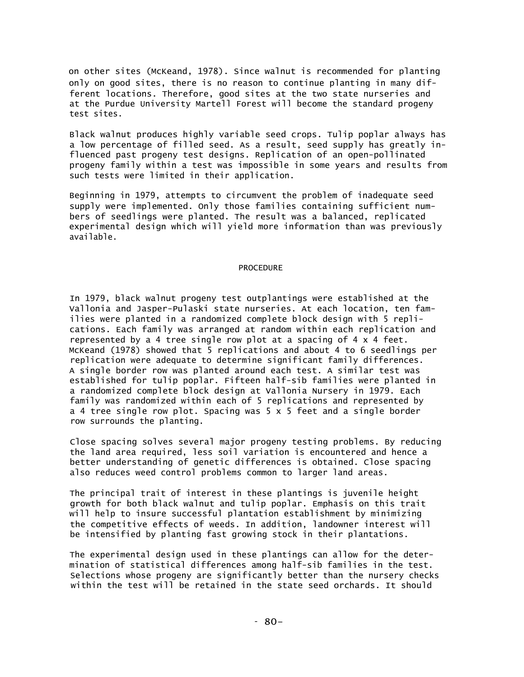on other sites (McKeand, 1978). Since walnut is recommended for planting only on good sites, there is no reason to continue planting in many different locations. Therefore, good sites at the two state nurseries and at the Purdue University Martell Forest will become the standard progeny test sites.

Black walnut produces highly variable seed crops. Tulip poplar always has a low percentage of filled seed. As a result, seed supply has greatly influenced past progeny test designs. Replication of an open-pollinated progeny family within a test was impossible in some years and results from such tests were limited in their application.

Beginning in 1979, attempts to circumvent the problem of inadequate seed supply were implemented. Only those families containing sufficient numbers of seedlings were planted. The result was a balanced, replicated experimental design which will yield more information than was previously available.

# PROCEDURE

In 1979, black walnut progeny test outplantings were established at the Vallonia and Jasper-Pulaski state nurseries. At each location, ten families were planted in a randomized complete block design with 5 replications. Each family was arranged at random within each replication and represented by a 4 tree single row plot at a spacing of 4 x 4 feet. McKeand (1978) showed that 5 replications and about 4 to 6 seedlings per replication were adequate to determine significant family differences. A single border row was planted around each test. A similar test was established for tulip poplar. Fifteen half-sib families were planted in a randomized complete block design at Vallonia Nursery in 1979. Each family was randomized within each of 5 replications and represented by a 4 tree single row plot. Spacing was 5 x 5 feet and a single border row surrounds the planting.

Close spacing solves several major progeny testing problems. By reducing the land area required, less soil variation is encountered and hence a better understanding of genetic differences is obtained. Close spacing also reduces weed control problems common to larger land areas.

The principal trait of interest in these plantings is juvenile height growth for both black walnut and tulip poplar. Emphasis on this trait will help to insure successful plantation establishment by minimizing the competitive effects of weeds. In addition, landowner interest will be intensified by planting fast growing stock in their plantations.

The experimental design used in these plantings can allow for the determination of statistical differences among half-sib families in the test. Selections whose progeny are significantly better than the nursery checks within the test will be retained in the state seed orchards. It should